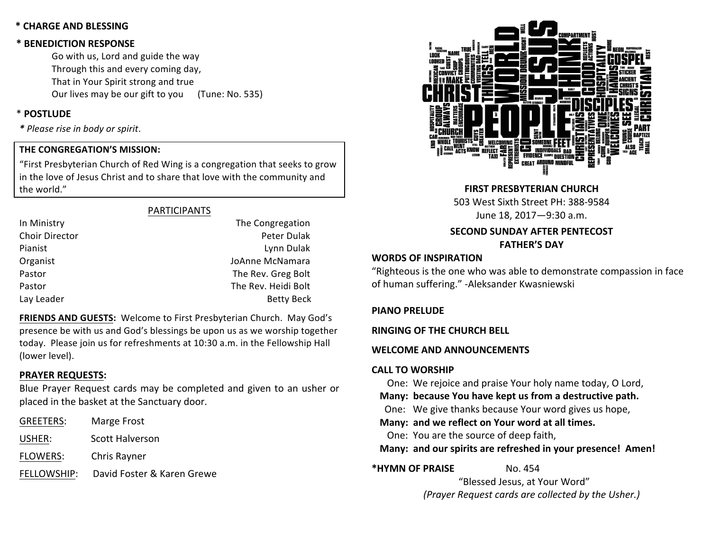#### **\* CHARGE AND BLESSING**

#### **\* BENEDICTION RESPONSE**

Go with us, Lord and guide the way Through this and every coming day, That in Your Spirit strong and true Our lives may be our gift to you (Tune: No. 535)

### \* **POSTLUDE**

*\* Please rise in body or spirit*.

#### **THE CONGREGATION'S MISSION:**

"First Presbyterian Church of Red Wing is a congregation that seeks to grow in the love of Jesus Christ and to share that love with the community and the world."

#### PARTICIPANTS

| In Ministry    | The Congregation    |
|----------------|---------------------|
| Choir Director | Peter Dulak         |
| Pianist        | Lynn Dulak          |
| Organist       | JoAnne McNamara     |
| Pastor         | The Rev. Greg Bolt  |
| Pastor         | The Rev. Heidi Bolt |
| Lay Leader     | <b>Betty Beck</b>   |
|                |                     |

FRIENDS AND GUESTS: Welcome to First Presbyterian Church. May God's presence be with us and God's blessings be upon us as we worship together today. Please join us for refreshments at 10:30 a.m. in the Fellowship Hall (lower level).

#### **PRAYER REQUESTS:**

Blue Prayer Request cards may be completed and given to an usher or placed in the basket at the Sanctuary door.

| <b>GREETERS:</b> | Marge Frost                |
|------------------|----------------------------|
| USHER:           | Scott Halverson            |
| <b>FLOWERS:</b>  | Chris Rayner               |
| FELLOWSHIP:      | David Foster & Karen Grewe |



**FIRST PRESBYTERIAN CHURCH** 503 West Sixth Street PH: 388-9584 June 18, 2017—9:30 a.m.

# **SECOND SUNDAY AFTER PENTECOST FATHER'S DAY**

#### **WORDS OF INSPIRATION**

"Righteous is the one who was able to demonstrate compassion in face of human suffering." - Aleksander Kwasniewski

#### **PIANO PRELUDE**

**RINGING OF THE CHURCH BELL** 

#### WELCOME AND ANNOUNCEMENTS

#### **CALL TO WORSHIP**

One: We rejoice and praise Your holy name today, O Lord,

Many: because You have kept us from a destructive path.

One: We give thanks because Your word gives us hope,

Many: and we reflect on Your word at all times.

One: You are the source of deep faith,

Many: and our spirits are refreshed in your presence! Amen!

**\*HYMN OF PRAISE** No. 454

"Blessed Jesus, at Your Word" *(Prayer Request cards are collected by the Usher.)*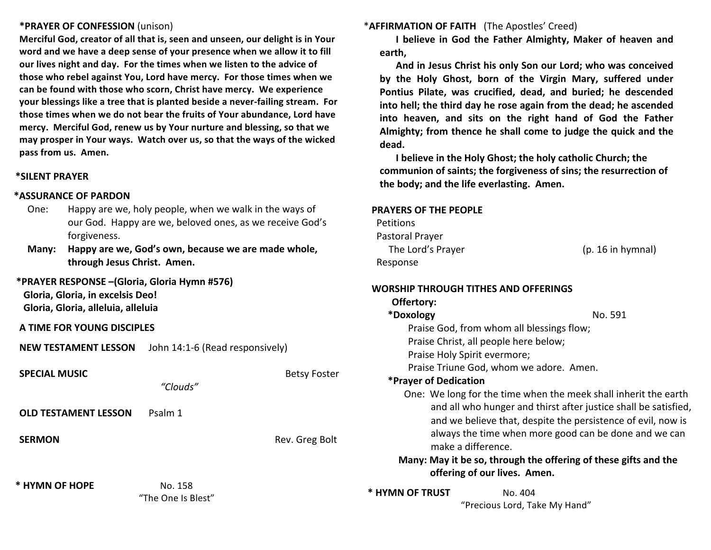#### **\*PRAYER OF CONFESSION** (unison)

**Merciful God, creator of all that is, seen and unseen, our delight is in Your** word and we have a deep sense of your presence when we allow it to fill our lives night and day. For the times when we listen to the advice of those who rebel against You, Lord have mercy. For those times when we can be found with those who scorn, Christ have mercy. We experience **your blessings like a tree that is planted beside a never-failing stream. For** those times when we do not bear the fruits of Your abundance, Lord have mercy. Merciful God, renew us by Your nurture and blessing, so that we may prosper in Your ways. Watch over us, so that the ways of the wicked pass from us. Amen.

#### **\*SILENT PRAYER**

#### **\*ASSURANCE OF PARDON**

- One: Happy are we, holy people, when we walk in the ways of our God. Happy are we, beloved ones, as we receive God's forgiveness.
- **Many:** Happy are we, God's own, because we are made whole, **through Jesus Christ. Amen.**

#### **\*PRAYER RESPONSE –(Gloria, Gloria Hymn #576)**

**Gloria, Gloria, in excelsis Deo! Gloria, Gloria, alleluia, alleluia**

**A TIME FOR YOUNG DISCIPLES**

| <b>SPECIAL MUSIC</b>        | "Clouds"<br>Psalm 1           | <b>Betsy Foster</b> | Praise Triune God, whom we<br>*Prayer of Dedication                                                         |
|-----------------------------|-------------------------------|---------------------|-------------------------------------------------------------------------------------------------------------|
| <b>OLD TESTAMENT LESSON</b> |                               |                     | One: We long for the time wh<br>and all who hunger and<br>and we believe that, des                          |
| <b>SERMON</b>               |                               | Rev. Greg Bolt      | always the time when m<br>make a difference.<br>Many: May it be so, through th<br>offering of our lives. Ar |
| * HYMN OF HOPE              | No. 158<br>"The One Is Blest" |                     | * HYMN OF TRUST<br>No. 404<br>"Precious Lord, Ta                                                            |

**\*AFFIRMATION OF FAITH** (The Apostles' Creed)

**I** believe in God the Father Almighty, Maker of heaven and **earth,**

And in Jesus Christ his only Son our Lord; who was conceived by the Holy Ghost, born of the Virgin Mary, suffered under Pontius Pilate, was crucified, dead, and buried; he descended into hell; the third day he rose again from the dead; he ascended into heaven, and sits on the right hand of God the Father Almighty; from thence he shall come to judge the quick and the **dead.**

**I** believe in the Holy Ghost; the holy catholic Church; the communion of saints; the forgiveness of sins; the resurrection of the body; and the life everlasting. Amen.

#### **PRAYERS OF THE PEOPLE**

| <b>Petitions</b>  |                   |
|-------------------|-------------------|
| Pastoral Prayer   |                   |
| The Lord's Prayer | (p. 16 in hymnal) |
| Response          |                   |

| WORSHIP THROUGH TITHES AND OFFERINGS |  |
|--------------------------------------|--|
| Offertory:                           |  |

| *Doxology                                 | No. 591                                                                                                                                                                                                                                                     |
|-------------------------------------------|-------------------------------------------------------------------------------------------------------------------------------------------------------------------------------------------------------------------------------------------------------------|
| Praise God, from whom all blessings flow; |                                                                                                                                                                                                                                                             |
| Praise Christ, all people here below;     |                                                                                                                                                                                                                                                             |
| Praise Holy Spirit evermore;              |                                                                                                                                                                                                                                                             |
| Praise Triune God, whom we adore. Amen.   |                                                                                                                                                                                                                                                             |
| *Prayer of Dedication                     |                                                                                                                                                                                                                                                             |
| make a difference.                        | One: We long for the time when the meek shall inherit the earth<br>and all who hunger and thirst after justice shall be satisfied,<br>and we believe that, despite the persistence of evil, now is<br>always the time when more good can be done and we can |
|                                           | . A A constant local constant in the constant of the constant of the constant of the constant of the constant of                                                                                                                                            |

## **gh the offering of these gifts and the** *<b>.* Amen.

d, Take My Hand"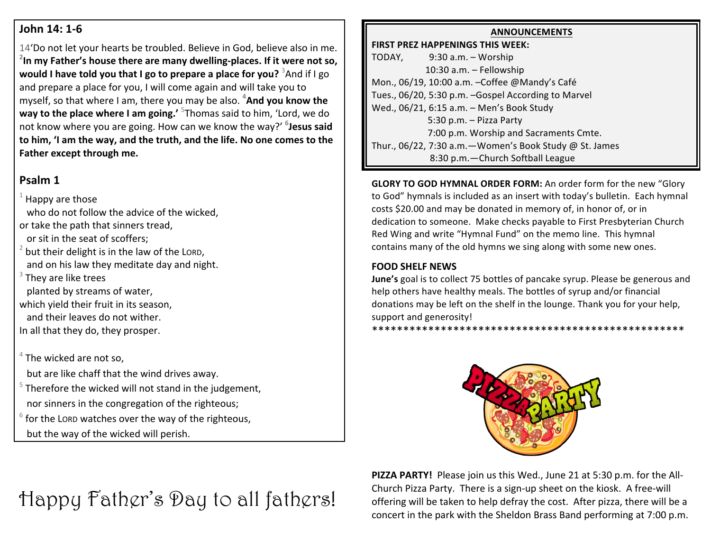# **John 14: 1-6**

14'Do not let your hearts be troubled. Believe in God, believe also in me. <sup>2</sup> In my Father's house there are many dwelling-places. If it were not so, **would I have told you that I go to prepare a place for you?** <sup>3</sup>And if I go and prepare a place for you, I will come again and will take you to myself, so that where I am, there you may be also. <sup>4</sup>And you know the **way to the place where I am going.'** <sup>5</sup>Thomas said to him, 'Lord, we do not know where you are going. How can we know the way?' <sup>6</sup>Jesus said to him, 'I am the way, and the truth, and the life. No one comes to the Father except through me.

# **Psalm 1**

Happy are those who do not follow the advice of the wicked. or take the path that sinners tread. or sit in the seat of scoffers:  $2$  but their delight is in the law of the LORD, and on his law they meditate day and night.  $3$  They are like trees planted by streams of water, which yield their fruit in its season, and their leaves do not wither. In all that they do, they prosper.

 $4$  The wicked are not so.

but are like chaff that the wind drives away.

 $5$  Therefore the wicked will not stand in the judgement, nor sinners in the congregation of the righteous;

 $6$  for the LORD watches over the way of the righteous, but the way of the wicked will perish.

# Happy Father's Day to all fathers!

# **ANNOUNCEMENTS**

**FIRST PREZ HAPPENINGS THIS WEEK:**  $TODAY,$  9:30 a.m. – Worship  $10:30$  a.m.  $-$  Fellowship Mon., 06/19, 10:00 a.m. - Coffee @Mandy's Café Tues., 06/20, 5:30 p.m. -Gospel According to Marvel Wed., 06/21, 6:15 a.m. - Men's Book Study 5:30 p.m. - Pizza Party 7:00 p.m. Worship and Sacraments Cmte. Thur., 06/22, 7:30 a.m. - Women's Book Study @ St. James 8:30 p.m. - Church Softball League

**GLORY TO GOD HYMNAL ORDER FORM:** An order form for the new "Glory" to God" hymnals is included as an insert with today's bulletin. Each hymnal costs \$20.00 and may be donated in memory of, in honor of, or in dedication to someone. Make checks payable to First Presbyterian Church Red Wing and write "Hymnal Fund" on the memo line. This hymnal contains many of the old hymns we sing along with some new ones.

# **FOOD SHELF NEWS**

**June's** goal is to collect 75 bottles of pancake syrup. Please be generous and help others have healthy meals. The bottles of syrup and/or financial donations may be left on the shelf in the lounge. Thank you for your help, support and generosity!

\*\*\*\*\*\*\*\*\*\*\*\*\*\*\*\*\*\*\*\*\*\*\*\*\*\*\*\*\*\*\*\*\*\*\*\*\*\*\*\*\*\*\*\*\*\*\*\*\*\*



**PIZZA PARTY!** Please join us this Wed., June 21 at 5:30 p.m. for the All-Church Pizza Party. There is a sign-up sheet on the kiosk. A free-will offering will be taken to help defray the cost. After pizza, there will be a concert in the park with the Sheldon Brass Band performing at 7:00 p.m.